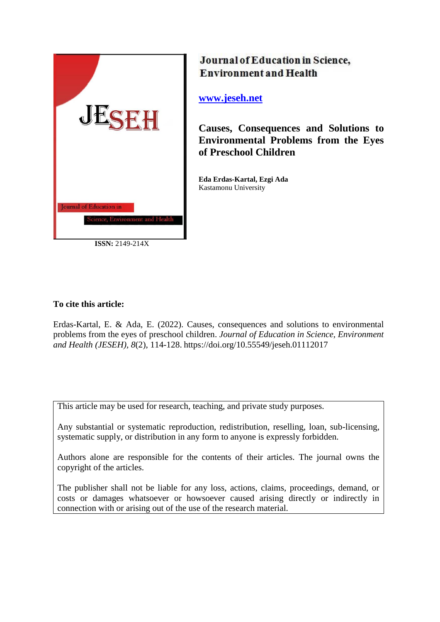

**ISSN:** 2149-214X

# Journal of Education in Science, **Environment and Health**

# **[www.jeseh.net](file:///C:/Users/mustafa/Desktop/www.jeseh.net)**

**Causes, Consequences and Solutions to Environmental Problems from the Eyes of Preschool Children**

**Eda Erdas-Kartal, Ezgi Ada** Kastamonu University

# **To cite this article:**

Erdas-Kartal, E. & Ada, E. (2022). Causes, consequences and solutions to environmental problems from the eyes of preschool children. *Journal of Education in Science, Environment and Health (JESEH), 8*(2), 114-128. https://doi.org/10.55549/jeseh.01112017

This article may be used for research, teaching, and private study purposes.

Any substantial or systematic reproduction, redistribution, reselling, loan, sub-licensing, systematic supply, or distribution in any form to anyone is expressly forbidden.

Authors alone are responsible for the contents of their articles. The journal owns the copyright of the articles.

The publisher shall not be liable for any loss, actions, claims, proceedings, demand, or costs or damages whatsoever or howsoever caused arising directly or indirectly in connection with or arising out of the use of the research material.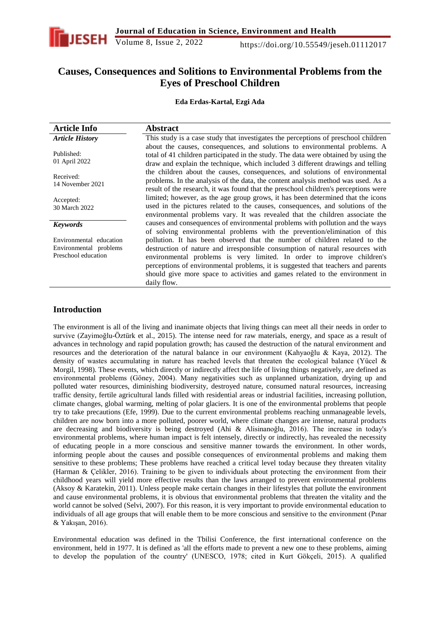

**Causes, Consequences and Solitions to Environmental Problems from the Eyes of Preschool Children**

**Eda Erdas-Kartal, Ezgi Ada**

| <b>Article Info</b>                                                      | <b>Abstract</b>                                                                                                                                                                                                                                                                                                                                                                                                          |
|--------------------------------------------------------------------------|--------------------------------------------------------------------------------------------------------------------------------------------------------------------------------------------------------------------------------------------------------------------------------------------------------------------------------------------------------------------------------------------------------------------------|
| <b>Article History</b>                                                   | This study is a case study that investigates the perceptions of preschool children                                                                                                                                                                                                                                                                                                                                       |
| Published:<br>01 April 2022                                              | about the causes, consequences, and solutions to environmental problems. A<br>total of 41 children participated in the study. The data were obtained by using the<br>draw and explain the technique, which included 3 different drawings and telling                                                                                                                                                                     |
| Received:<br>14 November 2021                                            | the children about the causes, consequences, and solutions of environmental<br>problems. In the analysis of the data, the content analysis method was used. As a<br>result of the research, it was found that the preschool children's perceptions were                                                                                                                                                                  |
| Accepted:<br>30 March 2022                                               | limited; however, as the age group grows, it has been determined that the icons<br>used in the pictures related to the causes, consequences, and solutions of the<br>environmental problems vary. It was revealed that the children associate the                                                                                                                                                                        |
| <b>Keywords</b>                                                          | causes and consequences of environmental problems with pollution and the ways<br>of solving environmental problems with the prevention/elimination of this                                                                                                                                                                                                                                                               |
| Environmental education<br>Environmental problems<br>Preschool education | pollution. It has been observed that the number of children related to the<br>destruction of nature and irresponsible consumption of natural resources with<br>environmental problems is very limited. In order to improve children's<br>perceptions of environmental problems, it is suggested that teachers and parents<br>should give more space to activities and games related to the environment in<br>daily flow. |

### **Introduction**

The environment is all of the living and inanimate objects that living things can meet all their needs in order to survive (Zayimoğlu-Öztürk et al., 2015). The intense need for raw materials, energy, and space as a result of advances in technology and rapid population growth; has caused the destruction of the natural environment and resources and the deterioration of the natural balance in our environment (Kahyaoğlu & Kaya, 2012). The density of wastes accumulating in nature has reached levels that threaten the ecological balance (Yücel & Morgil, 1998). These events, which directly or indirectly affect the life of living things negatively, are defined as environmental problems (Göney, 2004). Many negativities such as unplanned urbanization, drying up and polluted water resources, diminishing biodiversity, destroyed nature, consumed natural resources, increasing traffic density, fertile agricultural lands filled with residential areas or industrial facilities, increasing pollution, climate changes, global warming, melting of polar glaciers. It is one of the environmental problems that people try to take precautions (Efe, 1999). Due to the current environmental problems reaching unmanageable levels, children are now born into a more polluted, poorer world, where climate changes are intense, natural products are decreasing and biodiversity is being destroyed (Ahi & Alisinanoğlu, 2016). The increase in today's environmental problems, where human impact is felt intensely, directly or indirectly, has revealed the necessity of educating people in a more conscious and sensitive manner towards the environment. In other words, informing people about the causes and possible consequences of environmental problems and making them sensitive to these problems; These problems have reached a critical level today because they threaten vitality (Harman & Çelikler, 2016). Training to be given to individuals about protecting the environment from their childhood years will yield more effective results than the laws arranged to prevent environmental problems (Aksoy & Karatekin, 2011). Unless people make certain changes in their lifestyles that pollute the environment and cause environmental problems, it is obvious that environmental problems that threaten the vitality and the world cannot be solved (Selvi, 2007). For this reason, it is very important to provide environmental education to individuals of all age groups that will enable them to be more conscious and sensitive to the environment (Pınar & Yakışan, 2016).

Environmental education was defined in the Tbilisi Conference, the first international conference on the environment, held in 1977. It is defined as 'all the efforts made to prevent a new one to these problems, aiming to develop the population of the country' (UNESCO, 1978; cited in Kurt Gökçeli, 2015). A qualified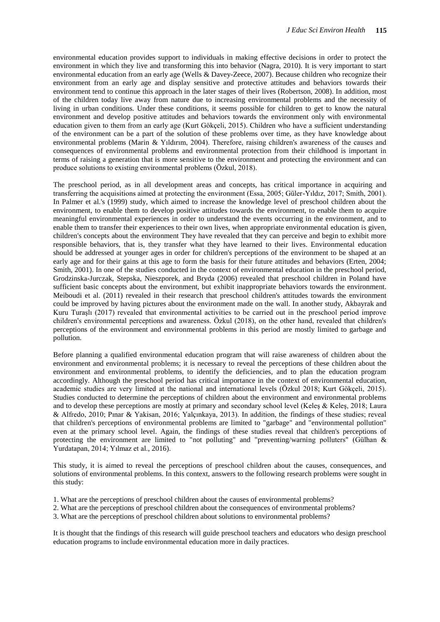environmental education provides support to individuals in making effective decisions in order to protect the environment in which they live and transforming this into behavior (Nagra, 2010). It is very important to start environmental education from an early age (Wells & Davey-Zeece, 2007). Because children who recognize their environment from an early age and display sensitive and protective attitudes and behaviors towards their environment tend to continue this approach in the later stages of their lives (Robertson, 2008). In addition, most of the children today live away from nature due to increasing environmental problems and the necessity of living in urban conditions. Under these conditions, it seems possible for children to get to know the natural environment and develop positive attitudes and behaviors towards the environment only with environmental education given to them from an early age (Kurt Gökçeli, 2015). Children who have a sufficient understanding of the environment can be a part of the solution of these problems over time, as they have knowledge about environmental problems (Marin & Yıldırım, 2004). Therefore, raising children's awareness of the causes and consequences of environmental problems and environmental protection from their childhood is important in terms of raising a generation that is more sensitive to the environment and protecting the environment and can produce solutions to existing environmental problems (Özkul, 2018).

The preschool period, as in all development areas and concepts, has critical importance in acquiring and transferring the acquisitions aimed at protecting the environment (Essa, 2005; Güler-Yıldız, 2017; Smith, 2001). In Palmer et al.'s (1999) study, which aimed to increase the knowledge level of preschool children about the environment, to enable them to develop positive attitudes towards the environment, to enable them to acquire meaningful environmental experiences in order to understand the events occurring in the environment, and to enable them to transfer their experiences to their own lives, when appropriate environmental education is given, children's concepts about the environment They have revealed that they can perceive and begin to exhibit more responsible behaviors, that is, they transfer what they have learned to their lives. Environmental education should be addressed at younger ages in order for children's perceptions of the environment to be shaped at an early age and for their gains at this age to form the basis for their future attitudes and behaviors (Erten, 2004; Smith, 2001). In one of the studies conducted in the context of environmental education in the preschool period, Grodzinska-Jurczak, Stepska, Nieszporek, and Bryda (2006) revealed that preschool children in Poland have sufficient basic concepts about the environment, but exhibit inappropriate behaviors towards the environment. Meiboudi et al. (2011) revealed in their research that preschool children's attitudes towards the environment could be improved by having pictures about the environment made on the wall. In another study, Akbayrak and Kuru Turaşlı (2017) revealed that environmental activities to be carried out in the preschool period improve children's environmental perceptions and awareness. Özkul (2018), on the other hand, revealed that children's perceptions of the environment and environmental problems in this period are mostly limited to garbage and pollution.

Before planning a qualified environmental education program that will raise awareness of children about the environment and environmental problems; it is necessary to reveal the perceptions of these children about the environment and environmental problems, to identify the deficiencies, and to plan the education program accordingly. Although the preschool period has critical importance in the context of environmental education, academic studies are very limited at the national and international levels (Özkul 2018; Kurt Gökçeli, 2015). Studies conducted to determine the perceptions of children about the environment and environmental problems and to develop these perceptions are mostly at primary and secondary school level (Keleş & Keleş, 2018; Laura & Alfredo, 2010; Pınar & Yakisan, 2016; Yalçınkaya, 2013). In addition, the findings of these studies; reveal that children's perceptions of environmental problems are limited to "garbage" and "environmental pollution" even at the primary school level. Again, the findings of these studies reveal that children's perceptions of protecting the environment are limited to "not polluting" and "preventing/warning polluters" (Gülhan & Yurdatapan, 2014; Yılmaz et al., 2016).

This study, it is aimed to reveal the perceptions of preschool children about the causes, consequences, and solutions of environmental problems. In this context, answers to the following research problems were sought in this study:

- 1. What are the perceptions of preschool children about the causes of environmental problems?
- 2. What are the perceptions of preschool children about the consequences of environmental problems?
- 3. What are the perceptions of preschool children about solutions to environmental problems?

It is thought that the findings of this research will guide preschool teachers and educators who design preschool education programs to include environmental education more in daily practices.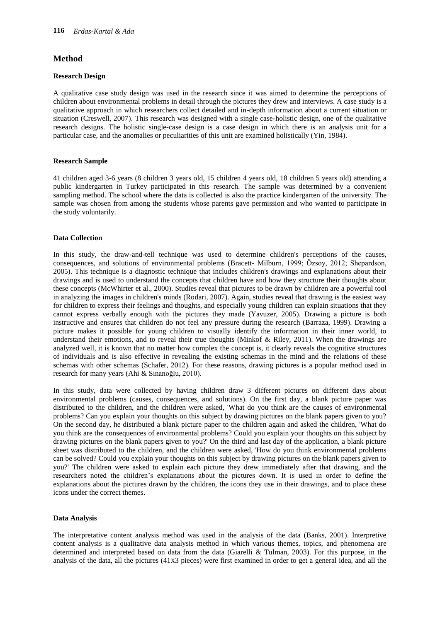### **Method**

#### **Research Design**

A qualitative case study design was used in the research since it was aimed to determine the perceptions of children about environmental problems in detail through the pictures they drew and interviews. A case study is a qualitative approach in which researchers collect detailed and in-depth information about a current situation or situation (Creswell, 2007). This research was designed with a single case-holistic design, one of the qualitative research designs. The holistic single-case design is a case design in which there is an analysis unit for a particular case, and the anomalies or peculiarities of this unit are examined holistically (Yin, 1984).

#### **Research Sample**

41 children aged 3-6 years (8 children 3 years old, 15 children 4 years old, 18 children 5 years old) attending a public kindergarten in Turkey participated in this research. The sample was determined by a convenient sampling method. The school where the data is collected is also the practice kindergarten of the university. The sample was chosen from among the students whose parents gave permission and who wanted to participate in the study voluntarily.

#### **Data Collection**

In this study, the draw-and-tell technique was used to determine children's perceptions of the causes, consequences, and solutions of environmental problems (Bracett- Milburn, 1999; Özsoy, 2012; Shepardson, 2005). This technique is a diagnostic technique that includes children's drawings and explanations about their drawings and is used to understand the concepts that children have and how they structure their thoughts about these concepts (McWhirter et al., 2000). Studies reveal that pictures to be drawn by children are a powerful tool in analyzing the images in children's minds (Rodari, 2007). Again, studies reveal that drawing is the easiest way for children to express their feelings and thoughts, and especially young children can explain situations that they cannot express verbally enough with the pictures they made (Yavuzer, 2005). Drawing a picture is both instructive and ensures that children do not feel any pressure during the research (Barraza, 1999). Drawing a picture makes it possible for young children to visually identify the information in their inner world, to understand their emotions, and to reveal their true thoughts (Minkof & Riley, 2011). When the drawings are analyzed well, it is known that no matter how complex the concept is, it clearly reveals the cognitive structures of individuals and is also effective in revealing the existing schemas in the mind and the relations of these schemas with other schemas (Schafer, 2012). For these reasons, drawing pictures is a popular method used in research for many years (Ahi & Sinanoğlu, 2010).

In this study, data were collected by having children draw 3 different pictures on different days about environmental problems (causes, consequences, and solutions). On the first day, a blank picture paper was distributed to the children, and the children were asked, 'What do you think are the causes of environmental problems? Can you explain your thoughts on this subject by drawing pictures on the blank papers given to you? On the second day, he distributed a blank picture paper to the children again and asked the children, 'What do you think are the consequences of environmental problems? Could you explain your thoughts on this subject by drawing pictures on the blank papers given to you?' On the third and last day of the application, a blank picture sheet was distributed to the children, and the children were asked, 'How do you think environmental problems can be solved? Could you explain your thoughts on this subject by drawing pictures on the blank papers given to you?' The children were asked to explain each picture they drew immediately after that drawing, and the researchers noted the children's explanations about the pictures down. It is used in order to define the explanations about the pictures drawn by the children, the icons they use in their drawings, and to place these icons under the correct themes.

#### **Data Analysis**

The interpretative content analysis method was used in the analysis of the data (Banks, 2001). Interpretive content analysis is a qualitative data analysis method in which various themes, topics, and phenomena are determined and interpreted based on data from the data (Giarelli & Tulman, 2003). For this purpose, in the analysis of the data, all the pictures (41X3 pieces) were first examined in order to get a general idea, and all the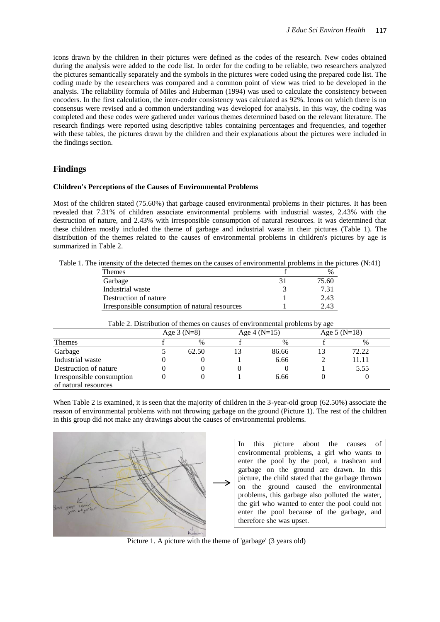icons drawn by the children in their pictures were defined as the codes of the research. New codes obtained during the analysis were added to the code list. In order for the coding to be reliable, two researchers analyzed the pictures semantically separately and the symbols in the pictures were coded using the prepared code list. The coding made by the researchers was compared and a common point of view was tried to be developed in the analysis. The reliability formula of Miles and Huberman (1994) was used to calculate the consistency between encoders. In the first calculation, the inter-coder consistency was calculated as 92%. Icons on which there is no consensus were revised and a common understanding was developed for analysis. In this way, the coding was completed and these codes were gathered under various themes determined based on the relevant literature. The research findings were reported using descriptive tables containing percentages and frequencies, and together with these tables, the pictures drawn by the children and their explanations about the pictures were included in the findings section.

#### **Findings**

#### **Children's Perceptions of the Causes of Environmental Problems**

Most of the children stated (75.60%) that garbage caused environmental problems in their pictures. It has been revealed that 7.31% of children associate environmental problems with industrial wastes, 2.43% with the destruction of nature, and 2.43% with irresponsible consumption of natural resources. It was determined that these children mostly included the theme of garbage and industrial waste in their pictures (Table 1). The distribution of the themes related to the causes of environmental problems in children's pictures by age is summarized in Table 2.

Table 1. The intensity of the detected themes on the causes of environmental problems in the pictures (N:41)

| <b>Themes</b>                                  | $\%$  |
|------------------------------------------------|-------|
| Garbage                                        | 75.60 |
| Industrial waste                               | 7 31  |
| Destruction of nature                          | 2.43  |
| Irresponsible consumption of natural resources | 2.43  |

|                                                   | Age $3(N=8)$ |       | Age $4(N=15)$ |       | Age $5(N=18)$ |
|---------------------------------------------------|--------------|-------|---------------|-------|---------------|
| <b>Themes</b>                                     |              | $\%$  |               | $\%$  | $\%$          |
| Garbage                                           |              | 62.50 |               | 86.66 | 72.22         |
| Industrial waste                                  |              |       |               | 6.66  | 11.11         |
| Destruction of nature                             |              |       |               |       | 5.55          |
| Irresponsible consumption<br>of natural resources |              |       |               | 6.66  |               |

Table 2. Distribution of themes on causes of environmental problems by age

When Table 2 is examined, it is seen that the majority of children in the 3-year-old group (62.50%) associate the reason of environmental problems with not throwing garbage on the ground (Picture 1). The rest of the children in this group did not make any drawings about the causes of environmental problems.



In this picture about the causes of environmental problems, a girl who wants to enter the pool by the pool, a trashcan and garbage on the ground are drawn. In this picture, the child stated that the garbage thrown on the ground caused the environmental problems, this garbage also polluted the water, the girl who wanted to enter the pool could not enter the pool because of the garbage, and therefore she was upset.

Picture 1. A picture with the theme of 'garbage' (3 years old)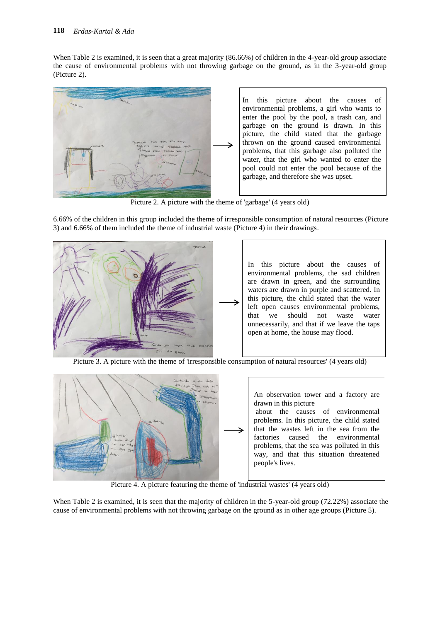When Table 2 is examined, it is seen that a great majority (86.66%) of children in the 4-year-old group associate the cause of environmental problems with not throwing garbage on the ground, as in the 3-year-old group (Picture 2).



Picture 2. A picture with the theme of 'garbage' (4 years old)

6.66% of the children in this group included the theme of irresponsible consumption of natural resources (Picture 3) and 6.66% of them included the theme of industrial waste (Picture 4) in their drawings.



Picture 3. A picture with the theme of 'irresponsible consumption of natural resources' (4 years old)



Picture 4. A picture featuring the theme of 'industrial wastes' (4 years old)

When Table 2 is examined, it is seen that the majority of children in the 5-year-old group (72.22%) associate the cause of environmental problems with not throwing garbage on the ground as in other age groups (Picture 5).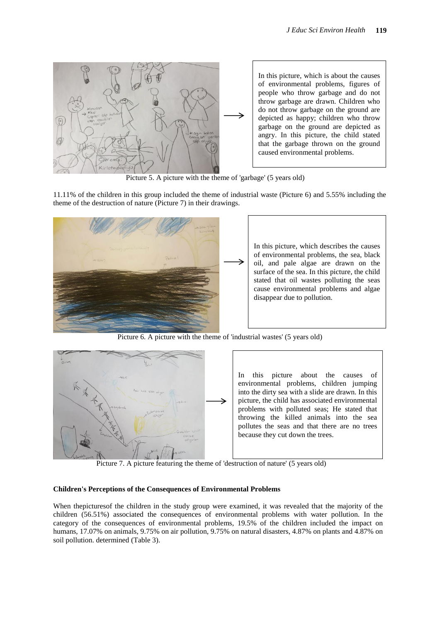

Picture 5. A picture with the theme of 'garbage' (5 years old)

11.11% of the children in this group included the theme of industrial waste (Picture 6) and 5.55% including the theme of the destruction of nature (Picture 7) in their drawings.



Picture 6. A picture with the theme of 'industrial wastes' (5 years old)



In this picture about the causes of environmental problems, children jumping into the dirty sea with a slide are drawn. In this picture, the child has associated environmental problems with polluted seas; He stated that throwing the killed animals into the sea pollutes the seas and that there are no trees because they cut down the trees.

Picture 7. A picture featuring the theme of 'destruction of nature' (5 years old)

#### **Children's Perceptions of the Consequences of Environmental Problems**

When thepicturesof the children in the study group were examined, it was revealed that the majority of the children (56.51%) associated the consequences of environmental problems with water pollution. In the category of the consequences of environmental problems, 19.5% of the children included the impact on humans, 17.07% on animals, 9.75% on air pollution, 9.75% on natural disasters, 4.87% on plants and 4.87% on soil pollution. determined (Table 3).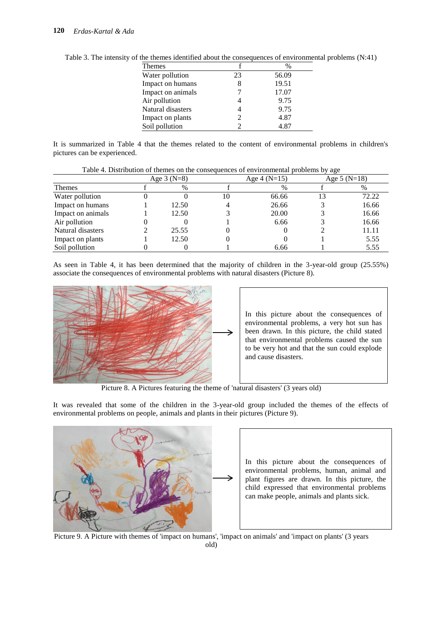| <b>Themes</b>     |    | $\%$  |
|-------------------|----|-------|
| Water pollution   | 23 | 56.09 |
| Impact on humans  |    | 19.51 |
| Impact on animals |    | 17.07 |
| Air pollution     |    | 9.75  |
| Natural disasters |    | 9.75  |
| Impact on plants  | 2  | 4.87  |
| Soil pollution    |    | 4.87  |

Table 3. The intensity of the themes identified about the consequences of environmental problems (N:41)

It is summarized in Table 4 that the themes related to the content of environmental problems in children's pictures can be experienced.

|                   | racio il Bistricturon el themes en une compequences el chanomiental procrems e f age |                               |    |       |               |       |  |
|-------------------|--------------------------------------------------------------------------------------|-------------------------------|----|-------|---------------|-------|--|
|                   |                                                                                      | Age $4(N=15)$<br>Age $3(N=8)$ |    |       | Age $5(N=18)$ |       |  |
| <b>Themes</b>     |                                                                                      | $\%$                          |    | $\%$  |               | %     |  |
| Water pollution   |                                                                                      |                               | 10 | 66.66 | 13            | 72.22 |  |
| Impact on humans  |                                                                                      | 12.50                         |    | 26.66 |               | 16.66 |  |
| Impact on animals |                                                                                      | 12.50                         |    | 20.00 |               | 16.66 |  |
| Air pollution     |                                                                                      |                               |    | 6.66  |               | 16.66 |  |
| Natural disasters |                                                                                      | 25.55                         |    |       |               | 11.11 |  |
| Impact on plants  |                                                                                      | 12.50                         |    |       |               | 5.55  |  |
| Soil pollution    |                                                                                      |                               |    | 6.66  |               | 5.55  |  |

Table 4. Distribution of themes on the consequences of environmental problems by age

As seen in Table 4, it has been determined that the majority of children in the 3-year-old group (25.55%) associate the consequences of environmental problems with natural disasters (Picture 8).



Picture 8. A Pictures featuring the theme of 'natural disasters' (3 years old)

It was revealed that some of the children in the 3-year-old group included the themes of the effects of environmental problems on people, animals and plants in their pictures (Picture 9).



In this picture about the consequences of environmental problems, human, animal and plant figures are drawn. In this picture, the child expressed that environmental problems can make people, animals and plants sick.

Picture 9. A Picture with themes of 'impact on humans', 'impact on animals' and 'impact on plants' (3 years old)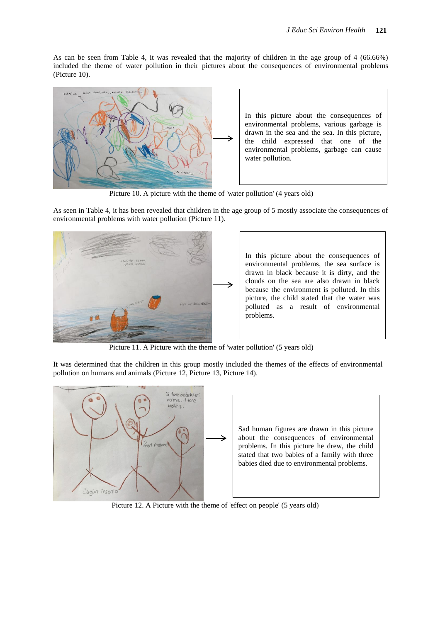As can be seen from Table 4, it was revealed that the majority of children in the age group of 4 (66.66%) included the theme of water pollution in their pictures about the consequences of environmental problems (Picture 10).



Picture 10. A picture with the theme of 'water pollution' (4 years old)

As seen in Table 4, it has been revealed that children in the age group of 5 mostly associate the consequences of environmental problems with water pollution (Picture 11).



Picture 11. A Picture with the theme of 'water pollution' (5 years old)

It was determined that the children in this group mostly included the themes of the effects of environmental pollution on humans and animals (Picture 12, Picture 13, Picture 14).



Picture 12. A Picture with the theme of 'effect on people' (5 years old)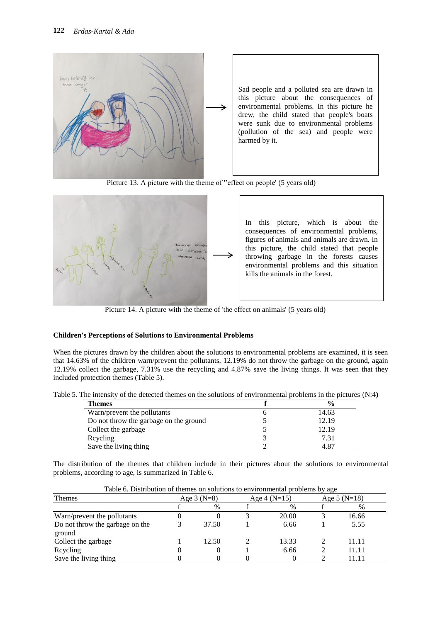

Picture 13. A picture with the theme of ''effect on people' (5 years old)



Picture 14. A picture with the theme of 'the effect on animals' (5 years old)

### **Children's Perceptions of Solutions to Environmental Problems**

When the pictures drawn by the children about the solutions to environmental problems are examined, it is seen that 14.63% of the children warn/prevent the pollutants, 12.19% do not throw the garbage on the ground, again 12.19% collect the garbage, 7.31% use the recycling and 4.87% save the living things. It was seen that they included protection themes (Table 5).

| Table 5. The intensity of the detected themes on the solutions of environmental problems in the pictures (N:4) |  |  |
|----------------------------------------------------------------------------------------------------------------|--|--|
|                                                                                                                |  |  |

| <b>Themes</b>                          | $\frac{0}{0}$ |
|----------------------------------------|---------------|
| Warn/prevent the pollutants            | 14.63         |
| Do not throw the garbage on the ground | 12.19         |
| Collect the garbage                    | 12.19         |
| Reyeling                               | 7.31          |
| Save the living thing                  | 4.87          |

The distribution of the themes that children include in their pictures about the solutions to environmental problems, according to age, is summarized in Table 6.

| I avie 0. Distribution of themes on solutions to environmental problems by age |              |       |                |       |               |        |  |
|--------------------------------------------------------------------------------|--------------|-------|----------------|-------|---------------|--------|--|
| <b>Themes</b>                                                                  | Age $3(N=8)$ |       | Age 4 $(N=15)$ |       | Age $5(N=18)$ |        |  |
|                                                                                |              | $\%$  |                | $\%$  |               |        |  |
| Warn/prevent the pollutants                                                    |              |       |                | 20.00 |               | 16.66  |  |
| Do not throw the garbage on the                                                |              | 37.50 |                | 6.66  |               | 5.55   |  |
| ground                                                                         |              |       |                |       |               |        |  |
| Collect the garbage                                                            |              | 12.50 |                | 13.33 |               | 11.11  |  |
| Reyeling                                                                       |              |       |                | 6.66  |               | 11.11  |  |
| Save the living thing                                                          |              |       |                |       |               | l 1.11 |  |

Table 6. Distribution of themes on solutions to environmental problems by age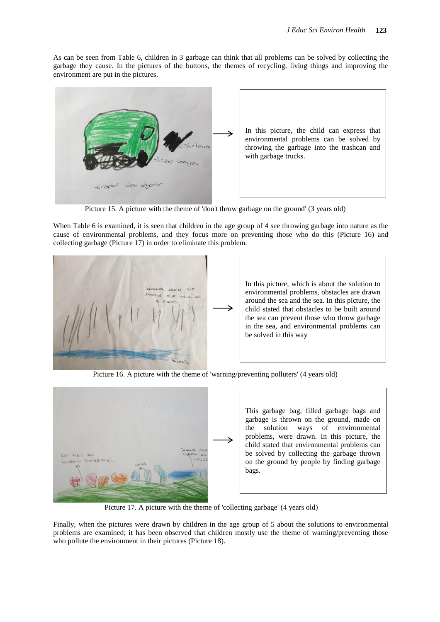As can be seen from Table 6, children in 3 garbage can think that all problems can be solved by collecting the garbage they cause. In the pictures of the buttons, the themes of recycling, living things and improving the environment are put in the pictures.



Picture 15. A picture with the theme of 'don't throw garbage on the ground' (3 years old)

When Table 6 is examined, it is seen that children in the age group of 4 see throwing garbage into nature as the cause of environmental problems, and they focus more on preventing those who do this (Picture 16) and collecting garbage (Picture 17) in order to eliminate this problem.



Picture 16. A picture with the theme of 'warning/preventing polluters' (4 years old)



This garbage bag, filled garbage bags and garbage is thrown on the ground, made on the solution ways of environmental problems, were drawn. In this picture, the child stated that environmental problems can be solved by collecting the garbage thrown on the ground by people by finding garbage bags.

Picture 17. A picture with the theme of 'collecting garbage' (4 years old)

Finally, when the pictures were drawn by children in the age group of 5 about the solutions to environmental problems are examined; it has been observed that children mostly use the theme of warning/preventing those who pollute the environment in their pictures (Picture 18).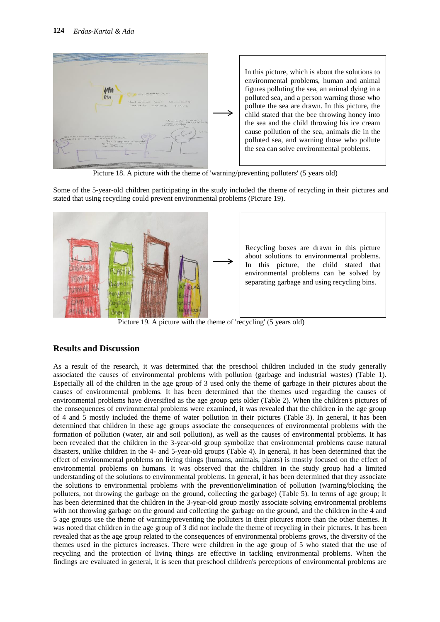

Picture 18. A picture with the theme of 'warning/preventing polluters' (5 years old)

Some of the 5-year-old children participating in the study included the theme of recycling in their pictures and stated that using recycling could prevent environmental problems (Picture 19).



Picture 19. A picture with the theme of 'recycling' (5 years old)

### **Results and Discussion**

As a result of the research, it was determined that the preschool children included in the study generally associated the causes of environmental problems with pollution (garbage and industrial wastes) (Table 1). Especially all of the children in the age group of 3 used only the theme of garbage in their pictures about the causes of environmental problems. It has been determined that the themes used regarding the causes of environmental problems have diversified as the age group gets older (Table 2). When the children's pictures of the consequences of environmental problems were examined, it was revealed that the children in the age group of 4 and 5 mostly included the theme of water pollution in their pictures (Table 3). In general, it has been determined that children in these age groups associate the consequences of environmental problems with the formation of pollution (water, air and soil pollution), as well as the causes of environmental problems. It has been revealed that the children in the 3-year-old group symbolize that environmental problems cause natural disasters, unlike children in the 4- and 5-year-old groups (Table 4). In general, it has been determined that the effect of environmental problems on living things (humans, animals, plants) is mostly focused on the effect of environmental problems on humans. It was observed that the children in the study group had a limited understanding of the solutions to environmental problems. In general, it has been determined that they associate the solutions to environmental problems with the prevention/elimination of pollution (warning/blocking the polluters, not throwing the garbage on the ground, collecting the garbage) (Table 5). In terms of age group; It has been determined that the children in the 3-year-old group mostly associate solving environmental problems with not throwing garbage on the ground and collecting the garbage on the ground, and the children in the 4 and 5 age groups use the theme of warning/preventing the polluters in their pictures more than the other themes. It was noted that children in the age group of 3 did not include the theme of recycling in their pictures. It has been revealed that as the age group related to the consequences of environmental problems grows, the diversity of the themes used in the pictures increases. There were children in the age group of 5 who stated that the use of recycling and the protection of living things are effective in tackling environmental problems. When the findings are evaluated in general, it is seen that preschool children's perceptions of environmental problems are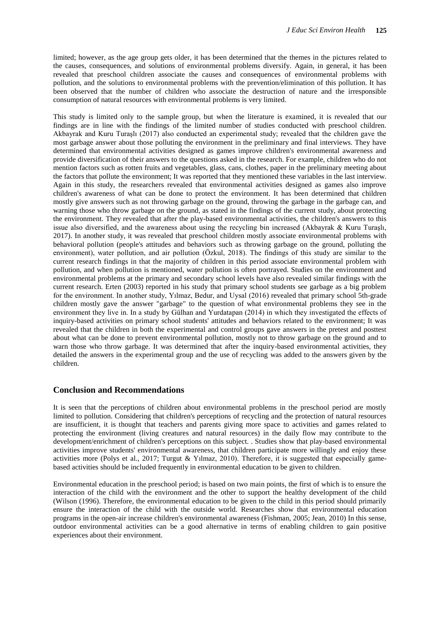limited; however, as the age group gets older, it has been determined that the themes in the pictures related to the causes, consequences, and solutions of environmental problems diversify. Again, in general, it has been revealed that preschool children associate the causes and consequences of environmental problems with pollution, and the solutions to environmental problems with the prevention/elimination of this pollution. It has been observed that the number of children who associate the destruction of nature and the irresponsible consumption of natural resources with environmental problems is very limited.

This study is limited only to the sample group, but when the literature is examined, it is revealed that our findings are in line with the findings of the limited number of studies conducted with preschool children. Akbayrak and Kuru Turaşlı (2017) also conducted an experimental study; revealed that the children gave the most garbage answer about those polluting the environment in the preliminary and final interviews. They have determined that environmental activities designed as games improve children's environmental awareness and provide diversification of their answers to the questions asked in the research. For example, children who do not mention factors such as rotten fruits and vegetables, glass, cans, clothes, paper in the preliminary meeting about the factors that pollute the environment; It was reported that they mentioned these variables in the last interview. Again in this study, the researchers revealed that environmental activities designed as games also improve children's awareness of what can be done to protect the environment. It has been determined that children mostly give answers such as not throwing garbage on the ground, throwing the garbage in the garbage can, and warning those who throw garbage on the ground, as stated in the findings of the current study, about protecting the environment. They revealed that after the play-based environmental activities, the children's answers to this issue also diversified, and the awareness about using the recycling bin increased (Akbayrak & Kuru Turaşlı, 2017). In another study, it was revealed that preschool children mostly associate environmental problems with behavioral pollution (people's attitudes and behaviors such as throwing garbage on the ground, polluting the environment), water pollution, and air pollution (Özkul, 2018). The findings of this study are similar to the current research findings in that the majority of children in this period associate environmental problem with pollution, and when pollution is mentioned, water pollution is often portrayed. Studies on the environment and environmental problems at the primary and secondary school levels have also revealed similar findings with the current research. Erten (2003) reported in his study that primary school students see garbage as a big problem for the environment. In another study, Yılmaz, Bedur, and Uysal (2016) revealed that primary school 5th-grade children mostly gave the answer "garbage" to the question of what environmental problems they see in the environment they live in. In a study by Gülhan and Yurdatapan (2014) in which they investigated the effects of inquiry-based activities on primary school students' attitudes and behaviors related to the environment; It was revealed that the children in both the experimental and control groups gave answers in the pretest and posttest about what can be done to prevent environmental pollution, mostly not to throw garbage on the ground and to warn those who throw garbage. It was determined that after the inquiry-based environmental activities, they detailed the answers in the experimental group and the use of recycling was added to the answers given by the children.

#### **Conclusion and Recommendations**

It is seen that the perceptions of children about environmental problems in the preschool period are mostly limited to pollution. Considering that children's perceptions of recycling and the protection of natural resources are insufficient, it is thought that teachers and parents giving more space to activities and games related to protecting the environment (living creatures and natural resources) in the daily flow may contribute to the development/enrichment of children's perceptions on this subject. . Studies show that play-based environmental activities improve students' environmental awareness, that children participate more willingly and enjoy these activities more (Polys et al., 2017; Turgut & Yılmaz, 2010). Therefore, it is suggested that especially gamebased activities should be included frequently in environmental education to be given to children.

Environmental education in the preschool period; is based on two main points, the first of which is to ensure the interaction of the child with the environment and the other to support the healthy development of the child (Wilson (1996). Therefore, the environmental education to be given to the child in this period should primarily ensure the interaction of the child with the outside world. Researches show that environmental education programs in the open-air increase children's environmental awareness (Fishman, 2005; Jean, 2010) In this sense, outdoor environmental activities can be a good alternative in terms of enabling children to gain positive experiences about their environment.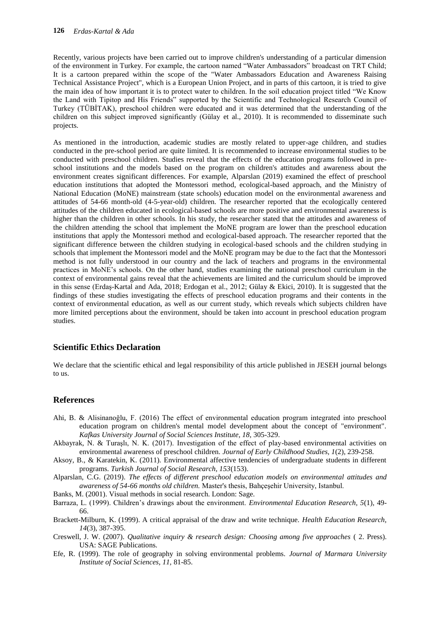Recently, various projects have been carried out to improve children's understanding of a particular dimension of the environment in Turkey. For example, the cartoon named "Water Ambassadors" broadcast on TRT Child; It is a cartoon prepared within the scope of the "Water Ambassadors Education and Awareness Raising Technical Assistance Project", which is a European Union Project, and in parts of this cartoon, it is tried to give the main idea of how important it is to protect water to children. In the soil education project titled "We Know the Land with Tipitop and His Friends" supported by the Scientific and Technological Research Council of Turkey (TÜBİTAK), preschool children were educated and it was determined that the understanding of the children on this subject improved significantly (Gülay et al., 2010). It is recommended to disseminate such projects.

As mentioned in the introduction, academic studies are mostly related to upper-age children, and studies conducted in the pre-school period are quite limited. It is recommended to increase environmental studies to be conducted with preschool children. Studies reveal that the effects of the education programs followed in preschool institutions and the models based on the program on children's attitudes and awareness about the environment creates significant differences. For example, Alparslan (2019) examined the effect of preschool education institutions that adopted the Montessori method, ecological-based approach, and the Ministry of National Education (MoNE) mainstream (state schools) education model on the environmental awareness and attitudes of 54-66 month-old (4-5-year-old) children. The researcher reported that the ecologically centered attitudes of the children educated in ecological-based schools are more positive and environmental awareness is higher than the children in other schools. In his study, the researcher stated that the attitudes and awareness of the children attending the school that implement the MoNE program are lower than the preschool education institutions that apply the Montessori method and ecological-based approach. The researcher reported that the significant difference between the children studying in ecological-based schools and the children studying in schools that implement the Montessori model and the MoNE program may be due to the fact that the Montessori method is not fully understood in our country and the lack of teachers and programs in the environmental practices in MoNE's schools. On the other hand, studies examining the national preschool curriculum in the context of environmental gains reveal that the achievements are limited and the curriculum should be improved in this sense (Erdaş-Kartal and Ada, 2018; Erdogan et al., 2012; Gülay & Ekici, 2010). It is suggested that the findings of these studies investigating the effects of preschool education programs and their contents in the context of environmental education, as well as our current study, which reveals which subjects children have more limited perceptions about the environment, should be taken into account in preschool education program studies.

# **Scientific Ethics Declaration**

We declare that the scientific ethical and legal responsibility of this article published in JESEH journal belongs to us.

# **References**

- Ahi, B. & Alisinanoğlu, F. (2016) The effect of environmental education program integrated into preschool education program on children's mental model development about the concept of "environment". *Kafkas University Journal of Social Sciences Institute, 18,* 305-329.
- Akbayrak, N. & Turaşlı, N. K. (2017). Investigation of the effect of play-based environmental activities on environmental awareness of preschool children. *Journal of Early Childhood Studies, 1*(2), 239-258.
- Aksoy, B., & Karatekin, K. (2011). Environmental affective tendencies of undergraduate students in different programs. *Turkish Journal of Social Research, 153*(153).
- Alparslan, C.G. (2019). *The effects of different preschool education models on environmental attitudes and awareness of 54-66 months old children.* Master's thesis, Bahçeşehir University, Istanbul.
- Banks, M. (2001). Visual methods in social research. London: Sage.
- Barraza, L. (1999). Children's drawings about the environment. *Environmental Education Research, 5*(1), 49- 66.
- Brackett-Milburn, K. (1999). A critical appraisal of the draw and write technique. *Health Education Research, 14*(3), 387-395.
- Creswell, J. W. (2007). *Qualitative inquiry & research design: Choosing among five approaches* ( 2. Press). USA: SAGE Publications.
- Efe, R. (1999). The role of geography in solving environmental problems. *Journal of Marmara University Institute of Social Sciences, 11,* 81-85.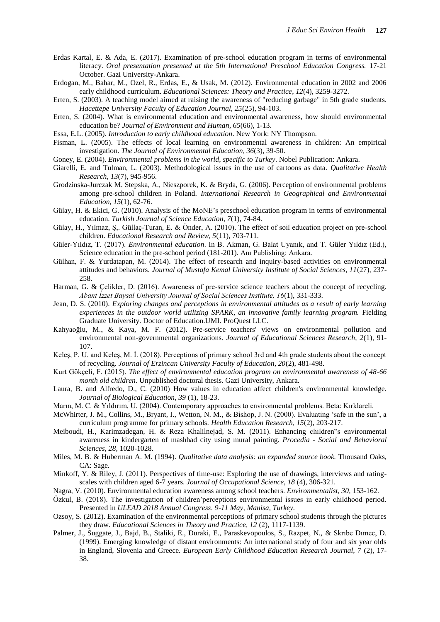- Erdas Kartal, E. & Ada, E. (2017). Examination of pre-school education program in terms of environmental literacy. *Oral presentation presented at the 5th International Preschool Education Congress.* 17-21 October. Gazi University-Ankara.
- Erdogan, M., Bahar, M., Ozel, R., Erdas, E., & Usak, M. (2012). Environmental education in 2002 and 2006 early childhood curriculum. *Educational Sciences: Theory and Practice*, *12*(4), 3259-3272.
- Erten, S. (2003). A teaching model aimed at raising the awareness of "reducing garbage" in 5th grade students. *Hacettepe University Faculty of Education Journal, 25*(25), 94-103.
- Erten, S. (2004). What is environmental education and environmental awareness, how should environmental education be? *Journal of Environment and Human, 65*(66), 1-13.
- Essa, E.L. (2005). *Introduction to early childhood education*. New York: NY Thompson.
- Fisman, L. (2005). The effects of local learning on environmental awareness in children: An empirical investigation. *The Journal of Environmental Education, 36*(3), 39-50.
- Goney, E. (2004). *Environmental problems in the world, specific to Turkey*. Nobel Publication: Ankara.
- Giarelli, E. and Tulman, L. (2003). Methodological issues in the use of cartoons as data. *Qualitative Health Research, 13*(7), 945-956.
- Grodzinska-Jurczak M. Stepska, A., Nieszporek, K. & Bryda, G. (2006). Perception of environmental problems among pre-school children in Poland. *International Research in Geographical and Environmental Education, 15*(1), 62-76.
- Gülay, H. & Ekici, G. (2010). Analysis of the MoNE's preschool education program in terms of environmental education. *Turkish Journal of Science Education, 7*(1), 74-84.
- Gülay, H., Yılmaz, Ş,. Güllaç-Turan, E. & Önder, A. (2010). The effect of soil education project on pre-school children. *Educational Research and Review, 5*(11), 703-711.
- Güler-Yıldız, T. (2017). *Environmental education*. In B. Akman, G. Balat Uyanık, and T. Güler Yıldız (Ed.), Science education in the pre-school period (181-201). Anı Publishing: Ankara.
- Gülhan, F. & Yurdatapan, M. (2014). The effect of research and inquiry-based activities on environmental attitudes and behaviors. *Journal of Mustafa Kemal University Institute of Social Sciences, 11*(27), 237- 258.
- Harman, G. & Çelikler, D. (2016). Awareness of pre-service science teachers about the concept of recycling. *Abant İzzet Baysal University Journal of Social Sciences Institute, 16*(1), 331-333.
- Jean, D. S. (2010). *Exploring changes and perceptions in environmental attitudes as a result of early learning experiences in the outdoor world utilizing SPARK, an innovative family learning program.* Fielding Graduate University. Doctor of Education.UMI. ProQuest LLC.
- Kahyaoğlu, M., & Kaya, M. F. (2012). Pre-service teachers' views on environmental pollution and environmental non-governmental organizations. *Journal of Educational Sciences Research, 2*(1), 91- 107.
- Keleş, P. U. and Keleş, M. İ. (2018). Perceptions of primary school 3rd and 4th grade students about the concept of recycling. *Journal of Erzincan University Faculty of Education, 20*(2), 481-498.
- Kurt Gökçeli, F. (2015). *The effect of environmental education program on environmental awareness of 48-66 month old children.* Unpublished doctoral thesis. Gazi University, Ankara.
- Laura, B. and Alfredo, D., C. (2010) How values in education affect children's environmental knowledge. *Journal of Biological Education, 39* (1), 18-23.
- Marın, M. C. & Yıldırım, U. (2004). Contemporary approaches to environmental problems. Beta: Kırklareli.
- McWhirter, J. M., Collins, M., Bryant, I., Wetton, N. M., & Bishop, J. N. (2000). Evaluating 'safe in the sun', a curriculum programme for primary schools. *Health Education Research, 15*(2), 203-217.
- Meiboudi, H., Karimzadegan, H. & Reza Khalilnejad, S. M. (2011). Enhancing children"s environmental awareness in kindergarten of mashhad city using mural painting. *Procedia - Social and Behavioral Sciences, 28,* 1020-1028.
- Miles, M. B. & Huberman A. M. (1994). *Qualitative data analysis: an expanded source book.* Thousand Oaks, CA: Sage.
- Minkoff, Y. & Riley, J. (2011). Perspectives of time**-**use: Exploring the use of drawings, interviews and ratingscales with children aged 6-7 years. *Journal of Occupational Science, 18* (4), 306-321.
- Nagra, V. (2010). Environmental education awareness among school teachers. *Environmentalist, 30,* 153-162.
- Özkul, B. (2018). The investigation of children'perceptions environmental issues in early childhood period. Presented in *ULEAD 2018 Annual Congress*. *9-11 May, Manisa, Turkey.*
- Ozsoy, S. (2012). Examination of the environmental perceptions of primary school students through the pictures they draw. *Educational Sciences in Theory and Practice, 12* (2), 1117-1139.
- Palmer, J., Suggate, J., Bajd, B., Staliki, E., Duraki, E., Paraskevopoulos, S., Razpet, N., & Skrıbe Dımec, D. (1999). Emerging knowledge of distant environments: An international study of four and six year olds in England, Slovenia and Greece. *European Early Childhood Education Research Journal, 7* (2), 17- 38.